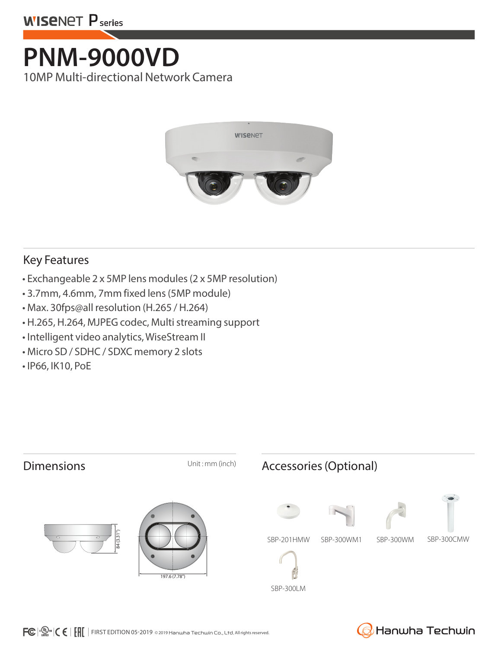

## **PNM-9000VD** 10MP Multi-directional Network Camera



#### Key Features

- Exchangeable 2 x 5MP lens modules (2 x 5MP resolution)
- 3.7mm, 4.6mm, 7mm fixed lens (5MP module)
- Max. 30fps@all resolution (H.265 / H.264)
- H.265, H.264, MJPEG codec, Multi streaming support
- Intelligent video analytics, WiseStream II
- Micro SD / SDHC / SDXC memory 2 slots
- IP66, IK10, PoE



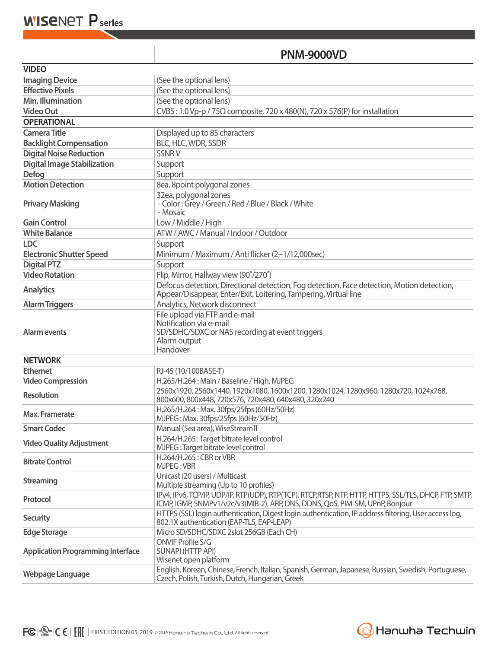### **PNM-9000VD**

| <b>VIDEO</b>                             |                                                                                                                                                                                        |  |  |
|------------------------------------------|----------------------------------------------------------------------------------------------------------------------------------------------------------------------------------------|--|--|
| <b>Imaging Device</b>                    | (See the optional lens)                                                                                                                                                                |  |  |
| <b>Effective Pixels</b>                  | (See the optional lens)                                                                                                                                                                |  |  |
| <b>Min. Illumination</b>                 | (See the optional lens)                                                                                                                                                                |  |  |
| <b>Video Out</b>                         | CVBS: 1.0 Vp-p / 75 $\Omega$ composite, 720 x 480(N), 720 x 576(P) for installation                                                                                                    |  |  |
| <b>OPERATIONAL</b>                       |                                                                                                                                                                                        |  |  |
| <b>Camera Title</b>                      | Displayed up to 85 characters                                                                                                                                                          |  |  |
| <b>Backlight Compensation</b>            | BLC, HLC, WDR, SSDR                                                                                                                                                                    |  |  |
| <b>Digital Noise Reduction</b>           | <b>SSNRV</b>                                                                                                                                                                           |  |  |
| <b>Digital Image Stabilization</b>       | Support                                                                                                                                                                                |  |  |
| <b>Defog</b>                             | Support                                                                                                                                                                                |  |  |
| <b>Motion Detection</b>                  | 8ea, 8point polygonal zones                                                                                                                                                            |  |  |
| <b>Privacy Masking</b>                   | 32ea, polygonal zones<br>- Color: Grey / Green / Red / Blue / Black / White<br>- Mosaic                                                                                                |  |  |
| <b>Gain Control</b>                      | Low / Middle / High                                                                                                                                                                    |  |  |
| <b>White Balance</b>                     | ATW / AWC / Manual / Indoor / Outdoor                                                                                                                                                  |  |  |
| <b>LDC</b>                               | Support                                                                                                                                                                                |  |  |
| <b>Electronic Shutter Speed</b>          | Minimum / Maximum / Anti flicker (2~1/12,000sec)                                                                                                                                       |  |  |
| <b>Digital PTZ</b>                       | Support                                                                                                                                                                                |  |  |
| <b>Video Rotation</b>                    | Flip, Mirror, Hallway view (90°/270°)                                                                                                                                                  |  |  |
| <b>Analytics</b>                         | Defocus detection, Directional detection, Fog detection, Face detection, Motion detection,<br>Appear/Disappear, Enter/Exit, Loitering, Tampering, Virtual line                         |  |  |
| <b>Alarm Triggers</b>                    | Analytics, Network disconnect                                                                                                                                                          |  |  |
| Alarm events                             | File upload via FTP and e-mail<br>Notification via e-mail<br>SD/SDHC/SDXC or NAS recording at event triggers<br>Alarm output<br>Handover                                               |  |  |
| <b>NETWORK</b>                           |                                                                                                                                                                                        |  |  |
| <b>Ethernet</b>                          | RJ-45 (10/100BASE-T)                                                                                                                                                                   |  |  |
| <b>Video Compression</b>                 | H.265/H.264: Main / Baseline / High, MJPEG                                                                                                                                             |  |  |
| <b>Resolution</b>                        | 2560x1920, 2560x1440, 1920x1080, 1600x1200, 1280x1024, 1280x960, 1280x720, 1024x768,<br>800x600, 800x448, 720x576, 720x480, 640x480, 320x240                                           |  |  |
| Max. Framerate                           | H.265/H.264: Max. 30fps/25fps (60Hz/50Hz)<br>MJPEG: Max. 30fps/25fps (60Hz/50Hz)                                                                                                       |  |  |
| <b>Smart Codec</b>                       | Manual (5ea area), WiseStreamII                                                                                                                                                        |  |  |
| <b>Video Quality Adjustment</b>          | H.264/H.265 : Target bitrate level control<br>MJPEG: Target bitrate level control                                                                                                      |  |  |
| <b>Bitrate Control</b>                   | H.264/H.265: CBR or VBR<br>MJPEG: VBR                                                                                                                                                  |  |  |
| <b>Streaming</b>                         | Unicast (20 users) / Multicast<br>Multiple streaming (Up to 10 profiles)                                                                                                               |  |  |
| Protocol                                 | IPv4, IPv6, TCP/IP, UDP/IP, RTP(UDP), RTP(TCP), RTCP,RTSP, NTP, HTTP, HTTPS, SSL/TLS, DHCP, FTP, SMTP,<br>ICMP, IGMP, SNMPv1/v2c/v3(MIB-2), ARP, DNS, DDNS, QoS, PIM-SM, UPnP, Bonjour |  |  |
| <b>Security</b>                          | HTTPS (SSL) login authentication, Digest login authentication, IP address filtering, User access log,<br>802.1X authentication (EAP-TLS, EAP-LEAP)                                     |  |  |
| <b>Edge Storage</b>                      | Micro SD/SDHC/SDXC 2slot 256GB (Each CH)                                                                                                                                               |  |  |
| <b>Application Programming Interface</b> | ONVIF Profile S/G<br><b>SUNAPI (HTTP API)</b><br>Wisenet open platform                                                                                                                 |  |  |
| Webpage Language                         | English, Korean, Chinese, French, Italian, Spanish, German, Japanese, Russian, Swedish, Portuguese,<br>Czech, Polish, Turkish, Dutch, Hungarian, Greek                                 |  |  |

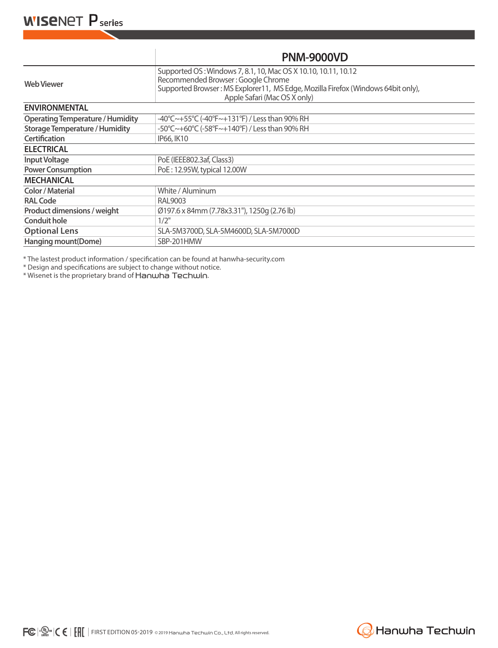|                                         | <b>PNM-9000VD</b>                                                                                                                                                                                                        |  |  |  |
|-----------------------------------------|--------------------------------------------------------------------------------------------------------------------------------------------------------------------------------------------------------------------------|--|--|--|
| <b>Web Viewer</b>                       | Supported OS: Windows 7, 8.1, 10, Mac OS X 10.10, 10.11, 10.12<br>Recommended Browser: Google Chrome<br>Supported Browser: MS Explorer11, MS Edge, Mozilla Firefox (Windows 64bit only),<br>Apple Safari (Mac OS X only) |  |  |  |
| <b>ENVIRONMENTAL</b>                    |                                                                                                                                                                                                                          |  |  |  |
| <b>Operating Temperature / Humidity</b> | $-40^{\circ}$ C $\sim$ +55 $^{\circ}$ C (-40 $^{\circ}$ F $\sim$ +131 $^{\circ}$ F) / Less than 90% RH                                                                                                                   |  |  |  |
| <b>Storage Temperature / Humidity</b>   | -50°C~+60°C (-58°F~+140°F) / Less than 90% RH                                                                                                                                                                            |  |  |  |
| <b>Certification</b>                    | IP66, IK10                                                                                                                                                                                                               |  |  |  |
| <b>ELECTRICAL</b>                       |                                                                                                                                                                                                                          |  |  |  |
| <b>Input Voltage</b>                    | PoE (IEEE802.3af, Class3)                                                                                                                                                                                                |  |  |  |
| <b>Power Consumption</b>                | PoE: 12.95W, typical 12.00W                                                                                                                                                                                              |  |  |  |
| <b>MECHANICAL</b>                       |                                                                                                                                                                                                                          |  |  |  |
| <b>Color / Material</b>                 | White / Aluminum                                                                                                                                                                                                         |  |  |  |
| <b>RAL Code</b>                         | RAL9003                                                                                                                                                                                                                  |  |  |  |
| Product dimensions / weight             | Ø197.6 x 84mm (7.78x3.31"), 1250q (2.76 lb)                                                                                                                                                                              |  |  |  |
| <b>Conduit hole</b>                     | 1/2"                                                                                                                                                                                                                     |  |  |  |
| <b>Optional Lens</b>                    | SLA-5M3700D, SLA-5M4600D, SLA-5M7000D                                                                                                                                                                                    |  |  |  |
| Hanging mount(Dome)                     | SBP-201HMW                                                                                                                                                                                                               |  |  |  |

\* The lastest product information / specification can be found at hanwha-security.com

\* Design and specifications are subject to change without notice.

\* Wisenet is the proprietary brand of Hanwha Techwin.